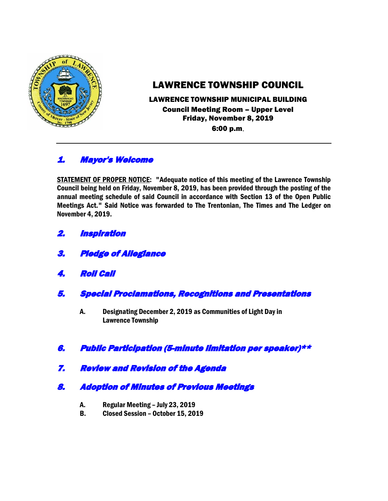

# LAWRENCE TOWNSHIP COUNCIL

## LAWRENCE TOWNSHIP MUNICIPAL BUILDING Council Meeting Room – Upper Level Friday, November 8, 2019 6:00 p.m.

## 1. Mayor's Welcome

STATEMENT OF PROPER NOTICE: "Adequate notice of this meeting of the Lawrence Township Council being held on Friday, November 8, 2019, has been provided through the posting of the annual meeting schedule of said Council in accordance with Section 13 of the Open Public Meetings Act." Said Notice was forwarded to The Trentonian, The Times and The Ledger on November 4, 2019.

- 2. Inspiration
- 3. Pledge of Allegiance
- 4. Roll Call
- 5. Special Proclamations, Recognitions and Presentations
	- A. Designating December 2, 2019 as Communities of Light Day in Lawrence Township
- 6. Public Participation (5-minute limitation per speaker)\*\*
- 7. Review and Revision of the Agenda
- 8. Adoption of Minutes of Previous Meetings
	- A. Regular Meeting July 23, 2019
	- B. Closed Session October 15, 2019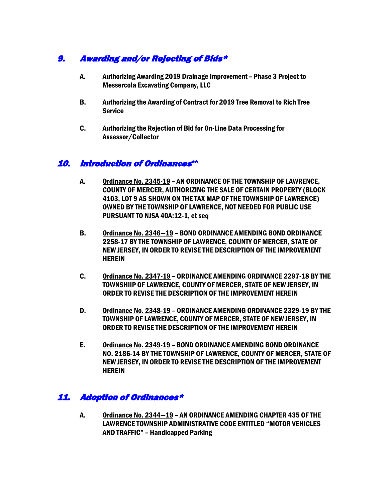## 9. Awarding and/or Rejecting of Bids\*

- A. Authorizing Awarding 2019 Drainage Improvement Phase 3 Project to Messercola Excavating Company, LLC
- B. Authorizing the Awarding of Contract for 2019 Tree Removal to Rich Tree **Service**
- C. Authorizing the Rejection of Bid for On-Line Data Processing for Assessor/Collector

#### 10. Introduction of Ordinances**\*\***

- A. Ordinance No. 2345-19 AN ORDINANCE OF THE TOWNSHIP OF LAWRENCE, COUNTY OF MERCER, AUTHORIZING THE SALE OF CERTAIN PROPERTY (BLOCK 4103, LOT 9 AS SHOWN ON THE TAX MAP OF THE TOWNSHIP OF LAWRENCE) OWNED BY THE TOWNSHIP OF LAWRENCE, NOT NEEDED FOR PUBLIC USE PURSUANT TO NJSA 40A:12-1, et seq
- B. Ordinance No. 2346—19 BOND ORDINANCE AMENDING BOND ORDINANCE 2258-17 BY THE TOWNSHIP OF LAWRENCE, COUNTY OF MERCER, STATE OF NEW JERSEY, IN ORDER TO REVISE THE DESCRIPTION OF THE IMPROVEMENT **HEREIN**
- C. Ordinance No. 2347-19 ORDINANCE AMENDING ORDINANCE 2297-18 BY THE TOWNSHIIP OF LAWRENCE, COUNTY OF MERCER, STATE OF NEW JERSEY, IN ORDER TO REVISE THE DESCRIPTION OF THE IMPROVEMENT HEREIN
- D. Ordinance No. 2348-19 ORDINANCE AMENDING ORDINANCE 2329-19 BY THE TOWNSHIP OF LAWRENCE, COUNTY OF MERCER, STATE OF NEW JERSEY, IN ORDER TO REVISE THE DESCRIPTION OF THE IMPROVEMENT HEREIN
- E. Ordinance No. 2349-19 BOND ORDINANCE AMENDING BOND ORDINANCE NO. 2186-14 BY THE TOWNSHIP OF LAWRENCE, COUNTY OF MERCER, STATE OF NEW JERSEY, IN ORDER TO REVISE THE DESCRIPTION OF THE IMPROVEMENT **HEREIN**

## 11. Adoption of Ordinances\*

A. Ordinance No. 2344—19 – AN ORDINANCE AMENDING CHAPTER 435 OF THE LAWRENCE TOWNSHIP ADMINISTRATIVE CODE ENTITLED "MOTOR VEHICLES AND TRAFFIC" – Handicapped Parking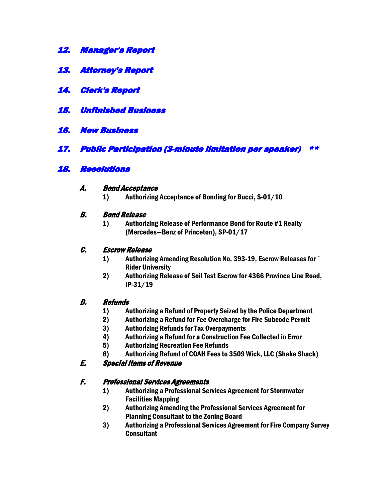- 12. Manager's Report
- 13. Attorney's Report
- 14. Clerk's Report
- 15. Unfinished Business
- 16. New Business
- 17. Public Participation (3-minute limitation per speaker) \*\*

## 18. Resolutions

#### A. Bond Acceptance

1) Authorizing Acceptance of Bonding for Bucci, S-01/10

#### B. Bond Release

1) Authorizing Release of Performance Bond for Route #1 Realty (Mercedes—Benz of Princeton), SP-01/17

#### C. Escrow Release

- 1) Authorizing Amending Resolution No. 393-19, Escrow Releases for ` Rider University
- 2) Authorizing Release of Soil Test Escrow for 4366 Province Line Road, IP-31/19

#### D. Refunds

- 1) Authorizing a Refund of Property Seized by the Police Department
- 2) Authorizing a Refund for Fee Overcharge for Fire Subcode Permit
- 3) Authorizing Refunds for Tax Overpayments
- 4) Authorizing a Refund for a Construction Fee Collected in Error
- 5) Authorizing Recreation Fee Refunds
- 6) Authorizing Refund of COAH Fees to 3509 Wick, LLC (Shake Shack)

## E. Special Items of Revenue

## F. Professional Services Agreements

- 1) Authorizing a Professional Services Agreement for Stormwater Facilities Mapping
- 2) Authorizing Amending the Professional Services Agreement for Planning Consultant to the Zoning Board
- 3) Authorizing a Professional Services Agreement for Fire Company Survey **Consultant**